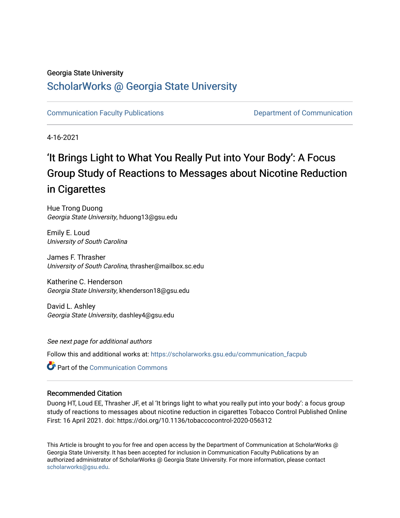#### Georgia State University

### [ScholarWorks @ Georgia State University](https://scholarworks.gsu.edu/)

[Communication Faculty Publications](https://scholarworks.gsu.edu/communication_facpub) [Department of Communication](https://scholarworks.gsu.edu/communication) 

4-16-2021

# 'It Brings Light to What You Really Put into Your Body': A Focus Group Study of Reactions to Messages about Nicotine Reduction in Cigarettes

Hue Trong Duong Georgia State University, hduong13@gsu.edu

Emily E. Loud University of South Carolina

James F. Thrasher University of South Carolina, thrasher@mailbox.sc.edu

Katherine C. Henderson Georgia State University, khenderson18@gsu.edu

David L. Ashley Georgia State University, dashley4@gsu.edu

See next page for additional authors

Follow this and additional works at: [https://scholarworks.gsu.edu/communication\\_facpub](https://scholarworks.gsu.edu/communication_facpub?utm_source=scholarworks.gsu.edu%2Fcommunication_facpub%2F35&utm_medium=PDF&utm_campaign=PDFCoverPages) 

**C** Part of the Communication Commons

#### Recommended Citation

Duong HT, Loud EE, Thrasher JF, et al 'It brings light to what you really put into your body': a focus group study of reactions to messages about nicotine reduction in cigarettes Tobacco Control Published Online First: 16 April 2021. doi: https://doi.org/10.1136/tobaccocontrol-2020-056312

This Article is brought to you for free and open access by the Department of Communication at ScholarWorks @ Georgia State University. It has been accepted for inclusion in Communication Faculty Publications by an authorized administrator of ScholarWorks @ Georgia State University. For more information, please contact [scholarworks@gsu.edu.](mailto:scholarworks@gsu.edu)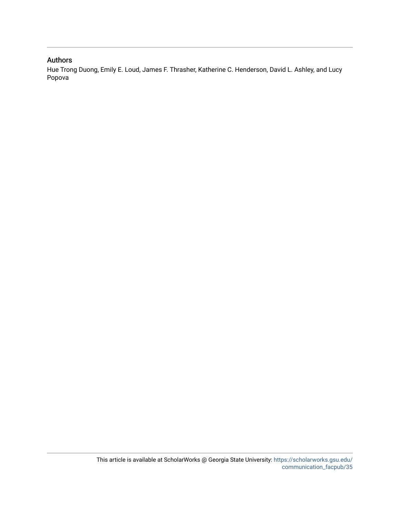#### Authors

Hue Trong Duong, Emily E. Loud, James F. Thrasher, Katherine C. Henderson, David L. Ashley, and Lucy Popova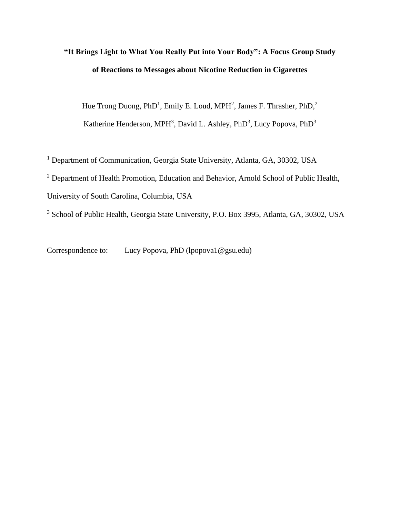## **"It Brings Light to What You Really Put into Your Body": A Focus Group Study of Reactions to Messages about Nicotine Reduction in Cigarettes**

Hue Trong Duong, PhD<sup>1</sup>, Emily E. Loud, MPH<sup>2</sup>, James F. Thrasher, PhD,<sup>2</sup> Katherine Henderson, MPH<sup>3</sup>, David L. Ashley, PhD<sup>3</sup>, Lucy Popova, PhD<sup>3</sup>

<sup>1</sup> Department of Communication, Georgia State University, Atlanta, GA, 30302, USA

<sup>2</sup> Department of Health Promotion, Education and Behavior, Arnold School of Public Health,

University of South Carolina, Columbia, USA

<sup>3</sup> School of Public Health, Georgia State University, P.O. Box 3995, Atlanta, GA, 30302, USA

Correspondence to: Lucy Popova, PhD (lpopova1@gsu.edu)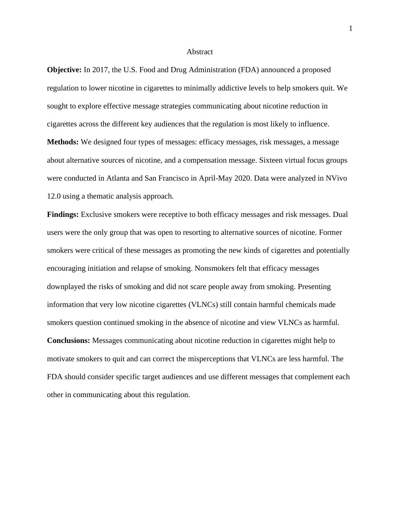#### **Abstract**

**Objective:** In 2017, the U.S. Food and Drug Administration (FDA) announced a proposed regulation to lower nicotine in cigarettes to minimally addictive levels to help smokers quit. We sought to explore effective message strategies communicating about nicotine reduction in cigarettes across the different key audiences that the regulation is most likely to influence. **Methods:** We designed four types of messages: efficacy messages, risk messages, a message about alternative sources of nicotine, and a compensation message. Sixteen virtual focus groups were conducted in Atlanta and San Francisco in April-May 2020. Data were analyzed in NVivo 12.0 using a thematic analysis approach.

**Findings:** Exclusive smokers were receptive to both efficacy messages and risk messages. Dual users were the only group that was open to resorting to alternative sources of nicotine. Former smokers were critical of these messages as promoting the new kinds of cigarettes and potentially encouraging initiation and relapse of smoking. Nonsmokers felt that efficacy messages downplayed the risks of smoking and did not scare people away from smoking. Presenting information that very low nicotine cigarettes (VLNCs) still contain harmful chemicals made smokers question continued smoking in the absence of nicotine and view VLNCs as harmful. **Conclusions:** Messages communicating about nicotine reduction in cigarettes might help to

motivate smokers to quit and can correct the misperceptions that VLNCs are less harmful. The FDA should consider specific target audiences and use different messages that complement each other in communicating about this regulation.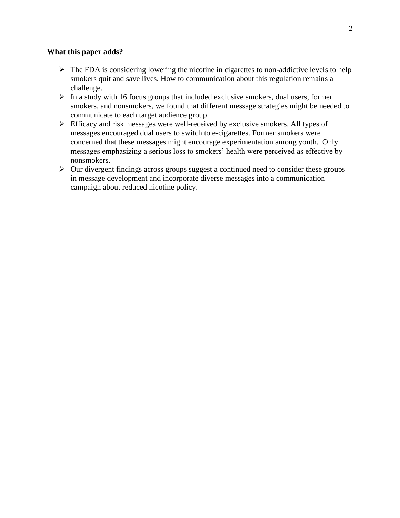#### **What this paper adds?**

- $\triangleright$  The FDA is considering lowering the nicotine in cigarettes to non-addictive levels to help smokers quit and save lives. How to communication about this regulation remains a challenge.
- $\triangleright$  In a study with 16 focus groups that included exclusive smokers, dual users, former smokers, and nonsmokers, we found that different message strategies might be needed to communicate to each target audience group.
- ➢ Efficacy and risk messages were well-received by exclusive smokers. All types of messages encouraged dual users to switch to e-cigarettes. Former smokers were concerned that these messages might encourage experimentation among youth. Only messages emphasizing a serious loss to smokers' health were perceived as effective by nonsmokers.
- ➢ Our divergent findings across groups suggest a continued need to consider these groups in message development and incorporate diverse messages into a communication campaign about reduced nicotine policy.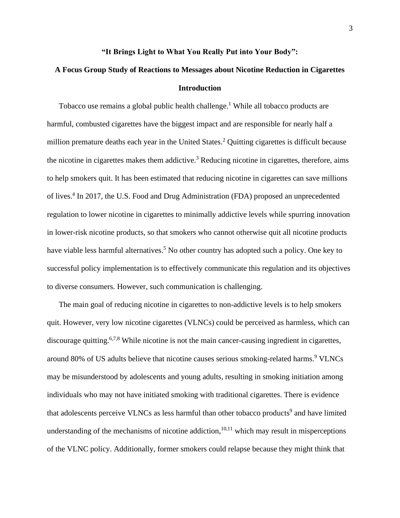#### **"It Brings Light to What You Really Put into Your Body":**

### **A Focus Group Study of Reactions to Messages about Nicotine Reduction in Cigarettes Introduction**

Tobacco use remains a global public health challenge.<sup>1</sup> While all tobacco products are harmful, combusted cigarettes have the biggest impact and are responsible for nearly half a million premature deaths each year in the United States.<sup>2</sup> Quitting cigarettes is difficult because the nicotine in cigarettes makes them addictive.<sup>3</sup> Reducing nicotine in cigarettes, therefore, aims to help smokers quit. It has been estimated that reducing nicotine in cigarettes can save millions of lives.<sup>4</sup> In 2017, the U.S. Food and Drug Administration (FDA) proposed an unprecedented regulation to lower nicotine in cigarettes to minimally addictive levels while spurring innovation in lower-risk nicotine products, so that smokers who cannot otherwise quit all nicotine products have viable less harmful alternatives.<sup>5</sup> No other country has adopted such a policy. One key to successful policy implementation is to effectively communicate this regulation and its objectives to diverse consumers. However, such communication is challenging.

The main goal of reducing nicotine in cigarettes to non-addictive levels is to help smokers quit. However, very low nicotine cigarettes (VLNCs) could be perceived as harmless, which can discourage quitting.<sup>6,7,8</sup> While nicotine is not the main cancer-causing ingredient in cigarettes, around 80% of US adults believe that nicotine causes serious smoking-related harms. <sup>9</sup> VLNCs may be misunderstood by adolescents and young adults, resulting in smoking initiation among individuals who may not have initiated smoking with traditional cigarettes. There is evidence that adolescents perceive VLNCs as less harmful than other tobacco products<sup>9</sup> and have limited understanding of the mechanisms of nicotine addiction,  $10,11$  which may result in misperceptions of the VLNC policy. Additionally, former smokers could relapse because they might think that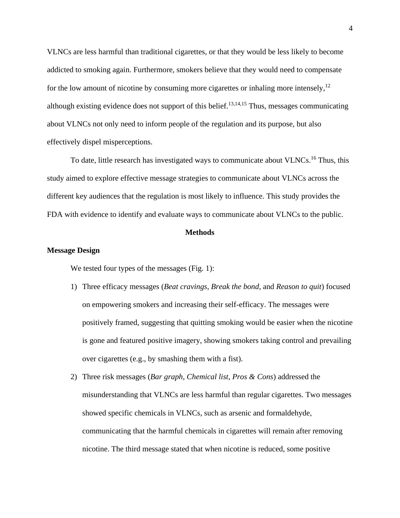VLNCs are less harmful than traditional cigarettes, or that they would be less likely to become addicted to smoking again. Furthermore, smokers believe that they would need to compensate for the low amount of nicotine by consuming more cigarettes or inhaling more intensely,<sup>12</sup> although existing evidence does not support of this belief.<sup>13,14,15</sup> Thus, messages communicating about VLNCs not only need to inform people of the regulation and its purpose, but also effectively dispel misperceptions.

To date, little research has investigated ways to communicate about VLNCs.<sup>16</sup> Thus, this study aimed to explore effective message strategies to communicate about VLNCs across the different key audiences that the regulation is most likely to influence. This study provides the FDA with evidence to identify and evaluate ways to communicate about VLNCs to the public.

#### **Methods**

#### **Message Design**

We tested four types of the messages (Fig. 1):

- 1) Three efficacy messages (*Beat cravings*, *Break the bond*, and *Reason to quit*) focused on empowering smokers and increasing their self-efficacy. The messages were positively framed, suggesting that quitting smoking would be easier when the nicotine is gone and featured positive imagery, showing smokers taking control and prevailing over cigarettes (e.g., by smashing them with a fist).
- 2) Three risk messages (*Bar graph*, *Chemical list*, *Pros & Cons*) addressed the misunderstanding that VLNCs are less harmful than regular cigarettes. Two messages showed specific chemicals in VLNCs, such as arsenic and formaldehyde, communicating that the harmful chemicals in cigarettes will remain after removing nicotine. The third message stated that when nicotine is reduced, some positive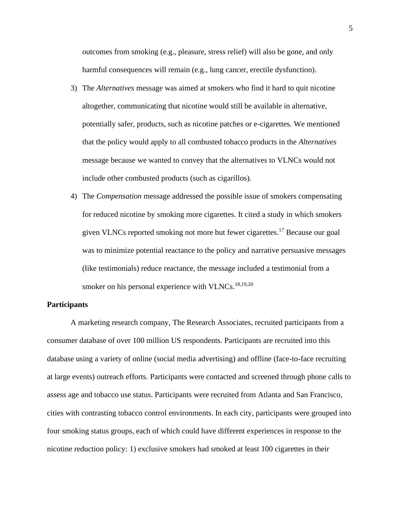outcomes from smoking (e.g., pleasure, stress relief) will also be gone, and only harmful consequences will remain (e.g., lung cancer, erectile dysfunction).

3) The *Alternatives* message was aimed at smokers who find it hard to quit nicotine altogether, communicating that nicotine would still be available in alternative, potentially safer, products, such as nicotine patches or e-cigarettes. We mentioned that the policy would apply to all combusted tobacco products in the *Alternatives* message because we wanted to convey that the alternatives to VLNCs would not include other combusted products (such as cigarillos).

4) The *Compensation* message addressed the possible issue of smokers compensating for reduced nicotine by smoking more cigarettes. It cited a study in which smokers given VLNCs reported smoking not more but fewer cigarettes.<sup>17</sup> Because our goal was to minimize potential reactance to the policy and narrative persuasive messages (like testimonials) reduce reactance, the message included a testimonial from a smoker on his personal experience with VLNCs. $^{18,19,20}$ 

#### **Participants**

A marketing research company, The Research Associates, recruited participants from a consumer database of over 100 million US respondents. Participants are recruited into this database using a variety of online (social media advertising) and offline (face-to-face recruiting at large events) outreach efforts. Participants were contacted and screened through phone calls to assess age and tobacco use status. Participants were recruited from Atlanta and San Francisco, cities with contrasting tobacco control environments. In each city, participants were grouped into four smoking status groups, each of which could have different experiences in response to the nicotine reduction policy: 1) exclusive smokers had smoked at least 100 cigarettes in their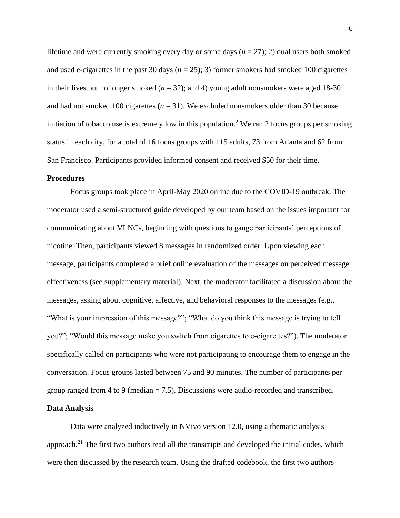lifetime and were currently smoking every day or some days  $(n = 27)$ ; 2) dual users both smoked and used e-cigarettes in the past 30 days  $(n = 25)$ ; 3) former smokers had smoked 100 cigarettes in their lives but no longer smoked  $(n = 32)$ ; and 4) young adult nonsmokers were aged 18-30 and had not smoked 100 cigarettes  $(n = 31)$ . We excluded nonsmokers older than 30 because initiation of tobacco use is extremely low in this population.<sup>2</sup> We ran 2 focus groups per smoking status in each city, for a total of 16 focus groups with 115 adults, 73 from Atlanta and 62 from San Francisco. Participants provided informed consent and received \$50 for their time.

#### **Procedures**

Focus groups took place in April-May 2020 online due to the COVID-19 outbreak. The moderator used a semi-structured guide developed by our team based on the issues important for communicating about VLNCs, beginning with questions to gauge participants' perceptions of nicotine. Then, participants viewed 8 messages in randomized order. Upon viewing each message, participants completed a brief online evaluation of the messages on perceived message effectiveness (see supplementary material). Next, the moderator facilitated a discussion about the messages, asking about cognitive, affective, and behavioral responses to the messages (e.g., "What is your impression of this message?"; "What do you think this message is trying to tell you?"; "Would this message make you switch from cigarettes to e-cigarettes?"). The moderator specifically called on participants who were not participating to encourage them to engage in the conversation. Focus groups lasted between 75 and 90 minutes. The number of participants per group ranged from 4 to 9 (median  $= 7.5$ ). Discussions were audio-recorded and transcribed.

#### **Data Analysis**

Data were analyzed inductively in NVivo version 12.0, using a thematic analysis approach.<sup>21</sup> The first two authors read all the transcripts and developed the initial codes, which were then discussed by the research team. Using the drafted codebook, the first two authors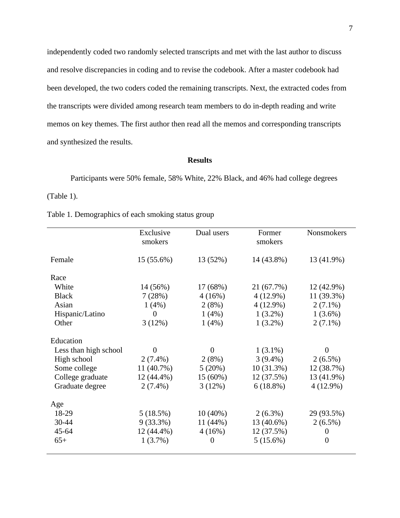independently coded two randomly selected transcripts and met with the last author to discuss and resolve discrepancies in coding and to revise the codebook. After a master codebook had been developed, the two coders coded the remaining transcripts. Next, the extracted codes from the transcripts were divided among research team members to do in-depth reading and write memos on key themes. The first author then read all the memos and corresponding transcripts and synthesized the results.

#### **Results**

Participants were 50% female, 58% White, 22% Black, and 46% had college degrees (Table 1).

| Table 1. Demographics of each smoking status group |  |  |
|----------------------------------------------------|--|--|
|----------------------------------------------------|--|--|

|                       | Exclusive<br>smokers | Dual users | Former<br>smokers | <b>Nonsmokers</b> |
|-----------------------|----------------------|------------|-------------------|-------------------|
| Female                | 15 (55.6%)           | 13 (52%)   | 14 (43.8%)        | 13 (41.9%)        |
| Race                  |                      |            |                   |                   |
| White                 | 14 (56%)             | 17 (68%)   | 21 (67.7%)        | 12 (42.9%)        |
| <b>Black</b>          | 7(28%)               | 4(16%)     | $4(12.9\%)$       | 11 (39.3%)        |
| Asian                 | $1(4\%)$             | 2(8%)      | $4(12.9\%)$       | $2(7.1\%)$        |
| Hispanic/Latino       | $\Omega$             | 1(4%)      | $1(3.2\%)$        | $1(3.6\%)$        |
| Other                 | 3(12%)               | 1(4%)      | $1(3.2\%)$        | $2(7.1\%)$        |
| Education             |                      |            |                   |                   |
| Less than high school | $\overline{0}$       | $\theta$   | $1(3.1\%)$        | $\theta$          |
| High school           | $2(7.4\%)$           | 2(8%)      | $3(9.4\%)$        | $2(6.5\%)$        |
| Some college          | 11 (40.7%)           | 5(20%)     | 10(31.3%)         | 12 (38.7%)        |
| College graduate      | 12 (44.4%)           | $15(60\%)$ | 12 (37.5%)        | 13 (41.9%)        |
| Graduate degree       | $2(7.4\%)$           | 3(12%)     | $6(18.8\%)$       | $4(12.9\%)$       |
| Age                   |                      |            |                   |                   |
| 18-29                 | 5(18.5%)             | $10(40\%)$ | $2(6.3\%)$        | 29 (93.5%)        |
| 30-44                 | $9(33.3\%)$          | 11(44%)    | 13 (40.6%)        | $2(6.5\%)$        |
| $45 - 64$             | 12 (44.4%)           | 4(16%)     | 12 (37.5%)        | $\theta$          |
| $65+$                 | $1(3.7\%)$           | $\theta$   | $5(15.6\%)$       | $\theta$          |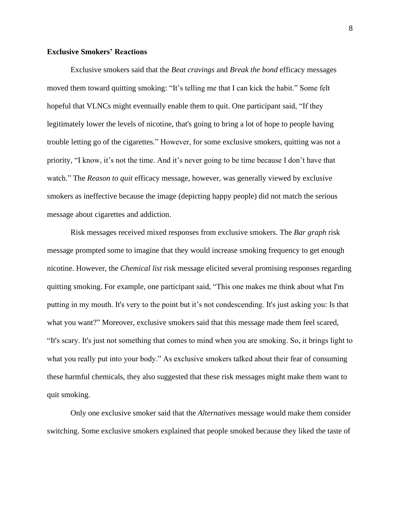#### **Exclusive Smokers' Reactions**

Exclusive smokers said that the *Beat cravings* and *Break the bond* efficacy messages moved them toward quitting smoking: "It's telling me that I can kick the habit." Some felt hopeful that VLNCs might eventually enable them to quit. One participant said, "If they legitimately lower the levels of nicotine, that's going to bring a lot of hope to people having trouble letting go of the cigarettes." However, for some exclusive smokers, quitting was not a priority, "I know, it's not the time. And it's never going to be time because I don't have that watch." The *Reason to quit* efficacy message, however, was generally viewed by exclusive smokers as ineffective because the image (depicting happy people) did not match the serious message about cigarettes and addiction.

Risk messages received mixed responses from exclusive smokers. The *Bar graph* risk message prompted some to imagine that they would increase smoking frequency to get enough nicotine. However, the *Chemical list* risk message elicited several promising responses regarding quitting smoking. For example, one participant said, "This one makes me think about what I'm putting in my mouth. It's very to the point but it's not condescending. It's just asking you: Is that what you want?" Moreover, exclusive smokers said that this message made them feel scared, "It's scary. It's just not something that comes to mind when you are smoking. So, it brings light to what you really put into your body." As exclusive smokers talked about their fear of consuming these harmful chemicals, they also suggested that these risk messages might make them want to quit smoking.

Only one exclusive smoker said that the *Alternatives* message would make them consider switching. Some exclusive smokers explained that people smoked because they liked the taste of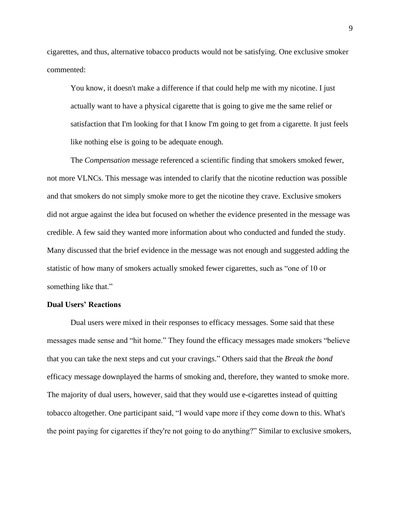cigarettes, and thus, alternative tobacco products would not be satisfying. One exclusive smoker commented:

You know, it doesn't make a difference if that could help me with my nicotine. I just actually want to have a physical cigarette that is going to give me the same relief or satisfaction that I'm looking for that I know I'm going to get from a cigarette. It just feels like nothing else is going to be adequate enough.

The *Compensation* message referenced a scientific finding that smokers smoked fewer, not more VLNCs. This message was intended to clarify that the nicotine reduction was possible and that smokers do not simply smoke more to get the nicotine they crave. Exclusive smokers did not argue against the idea but focused on whether the evidence presented in the message was credible. A few said they wanted more information about who conducted and funded the study. Many discussed that the brief evidence in the message was not enough and suggested adding the statistic of how many of smokers actually smoked fewer cigarettes, such as "one of 10 or something like that."

#### **Dual Users' Reactions**

Dual users were mixed in their responses to efficacy messages. Some said that these messages made sense and "hit home." They found the efficacy messages made smokers "believe that you can take the next steps and cut your cravings." Others said that the *Break the bond* efficacy message downplayed the harms of smoking and, therefore, they wanted to smoke more. The majority of dual users, however, said that they would use e-cigarettes instead of quitting tobacco altogether. One participant said, "I would vape more if they come down to this. What's the point paying for cigarettes if they're not going to do anything?" Similar to exclusive smokers,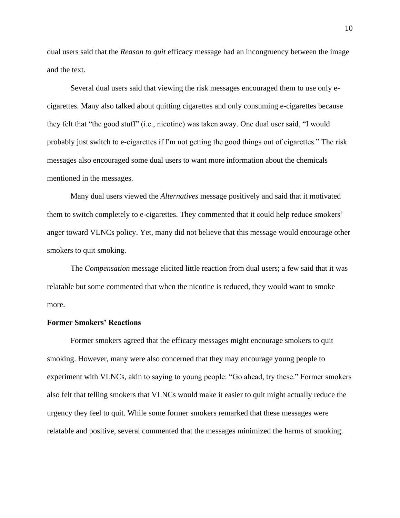dual users said that the *Reason to quit* efficacy message had an incongruency between the image and the text.

Several dual users said that viewing the risk messages encouraged them to use only ecigarettes. Many also talked about quitting cigarettes and only consuming e-cigarettes because they felt that "the good stuff" (i.e., nicotine) was taken away. One dual user said, "I would probably just switch to e-cigarettes if I'm not getting the good things out of cigarettes." The risk messages also encouraged some dual users to want more information about the chemicals mentioned in the messages.

Many dual users viewed the *Alternatives* message positively and said that it motivated them to switch completely to e-cigarettes. They commented that it could help reduce smokers' anger toward VLNCs policy. Yet, many did not believe that this message would encourage other smokers to quit smoking.

The *Compensation* message elicited little reaction from dual users; a few said that it was relatable but some commented that when the nicotine is reduced, they would want to smoke more.

#### **Former Smokers' Reactions**

Former smokers agreed that the efficacy messages might encourage smokers to quit smoking. However, many were also concerned that they may encourage young people to experiment with VLNCs, akin to saying to young people: "Go ahead, try these." Former smokers also felt that telling smokers that VLNCs would make it easier to quit might actually reduce the urgency they feel to quit. While some former smokers remarked that these messages were relatable and positive, several commented that the messages minimized the harms of smoking.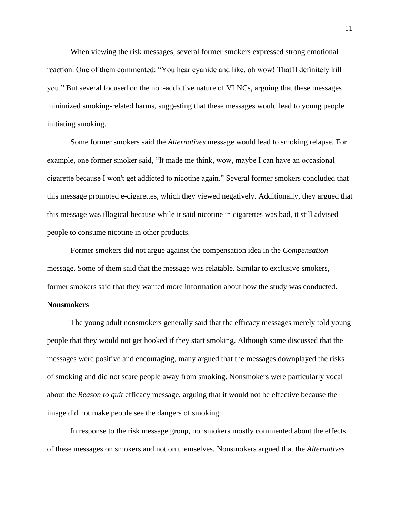When viewing the risk messages, several former smokers expressed strong emotional reaction. One of them commented: "You hear cyanide and like, oh wow! That'll definitely kill you." But several focused on the non-addictive nature of VLNCs, arguing that these messages minimized smoking-related harms, suggesting that these messages would lead to young people initiating smoking.

Some former smokers said the *Alternatives* message would lead to smoking relapse. For example, one former smoker said, "It made me think, wow, maybe I can have an occasional cigarette because I won't get addicted to nicotine again." Several former smokers concluded that this message promoted e-cigarettes, which they viewed negatively. Additionally, they argued that this message was illogical because while it said nicotine in cigarettes was bad, it still advised people to consume nicotine in other products.

Former smokers did not argue against the compensation idea in the *Compensation* message. Some of them said that the message was relatable. Similar to exclusive smokers, former smokers said that they wanted more information about how the study was conducted.

#### **Nonsmokers**

The young adult nonsmokers generally said that the efficacy messages merely told young people that they would not get hooked if they start smoking. Although some discussed that the messages were positive and encouraging, many argued that the messages downplayed the risks of smoking and did not scare people away from smoking. Nonsmokers were particularly vocal about the *Reason to quit* efficacy message, arguing that it would not be effective because the image did not make people see the dangers of smoking.

In response to the risk message group, nonsmokers mostly commented about the effects of these messages on smokers and not on themselves. Nonsmokers argued that the *Alternatives*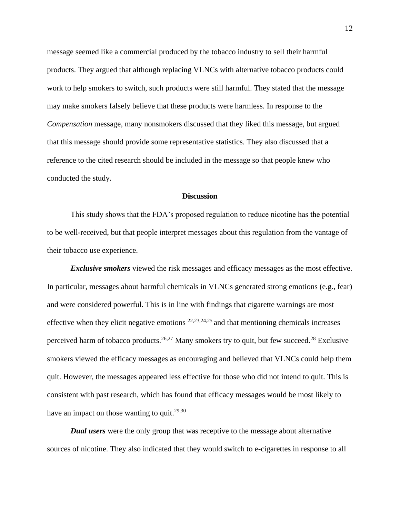message seemed like a commercial produced by the tobacco industry to sell their harmful products. They argued that although replacing VLNCs with alternative tobacco products could work to help smokers to switch, such products were still harmful. They stated that the message may make smokers falsely believe that these products were harmless. In response to the *Compensation* message, many nonsmokers discussed that they liked this message, but argued that this message should provide some representative statistics. They also discussed that a reference to the cited research should be included in the message so that people knew who conducted the study.

#### **Discussion**

This study shows that the FDA's proposed regulation to reduce nicotine has the potential to be well-received, but that people interpret messages about this regulation from the vantage of their tobacco use experience.

*Exclusive smokers* viewed the risk messages and efficacy messages as the most effective. In particular, messages about harmful chemicals in VLNCs generated strong emotions (e.g., fear) and were considered powerful. This is in line with findings that cigarette warnings are most effective when they elicit negative emotions  $22,23,24,25$  and that mentioning chemicals increases perceived harm of tobacco products.<sup>26,27</sup> Many smokers try to quit, but few succeed.<sup>28</sup> Exclusive smokers viewed the efficacy messages as encouraging and believed that VLNCs could help them quit. However, the messages appeared less effective for those who did not intend to quit. This is consistent with past research, which has found that efficacy messages would be most likely to have an impact on those wanting to quit.<sup>29,30</sup>

*Dual users* were the only group that was receptive to the message about alternative sources of nicotine. They also indicated that they would switch to e-cigarettes in response to all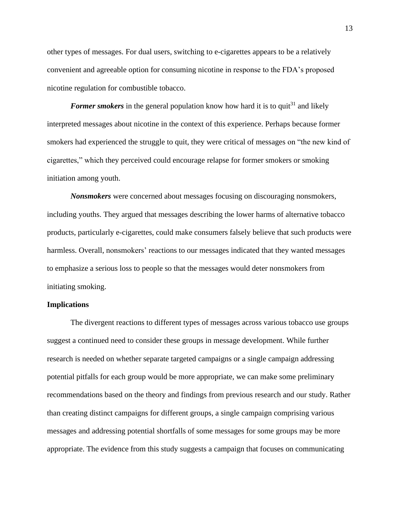other types of messages. For dual users, switching to e-cigarettes appears to be a relatively convenient and agreeable option for consuming nicotine in response to the FDA's proposed nicotine regulation for combustible tobacco.

*Former smokers* in the general population know how hard it is to quit<sup>31</sup> and likely interpreted messages about nicotine in the context of this experience. Perhaps because former smokers had experienced the struggle to quit, they were critical of messages on "the new kind of cigarettes," which they perceived could encourage relapse for former smokers or smoking initiation among youth.

*Nonsmokers* were concerned about messages focusing on discouraging nonsmokers, including youths. They argued that messages describing the lower harms of alternative tobacco products, particularly e-cigarettes, could make consumers falsely believe that such products were harmless. Overall, nonsmokers' reactions to our messages indicated that they wanted messages to emphasize a serious loss to people so that the messages would deter nonsmokers from initiating smoking.

#### **Implications**

The divergent reactions to different types of messages across various tobacco use groups suggest a continued need to consider these groups in message development. While further research is needed on whether separate targeted campaigns or a single campaign addressing potential pitfalls for each group would be more appropriate, we can make some preliminary recommendations based on the theory and findings from previous research and our study. Rather than creating distinct campaigns for different groups, a single campaign comprising various messages and addressing potential shortfalls of some messages for some groups may be more appropriate. The evidence from this study suggests a campaign that focuses on communicating

13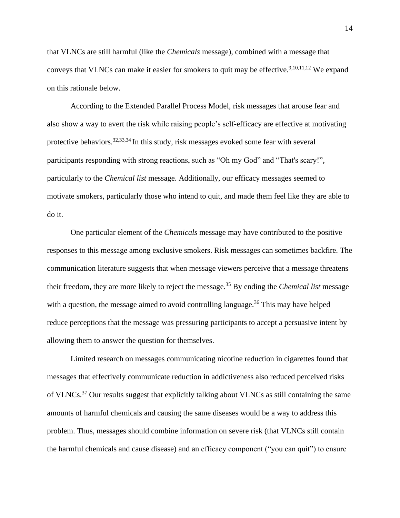that VLNCs are still harmful (like the *Chemicals* message), combined with a message that conveys that VLNCs can make it easier for smokers to quit may be effective.<sup>9,10,11,12</sup> We expand on this rationale below.

According to the Extended Parallel Process Model, risk messages that arouse fear and also show a way to avert the risk while raising people's self-efficacy are effective at motivating protective behaviors.<sup>32,33,34</sup> In this study, risk messages evoked some fear with several participants responding with strong reactions, such as "Oh my God" and "That's scary!", particularly to the *Chemical list* message. Additionally, our efficacy messages seemed to motivate smokers, particularly those who intend to quit, and made them feel like they are able to do it.

One particular element of the *Chemicals* message may have contributed to the positive responses to this message among exclusive smokers. Risk messages can sometimes backfire. The communication literature suggests that when message viewers perceive that a message threatens their freedom, they are more likely to reject the message.<sup>35</sup> By ending the *Chemical list* message with a question, the message aimed to avoid controlling language.<sup>36</sup> This may have helped reduce perceptions that the message was pressuring participants to accept a persuasive intent by allowing them to answer the question for themselves.

Limited research on messages communicating nicotine reduction in cigarettes found that messages that effectively communicate reduction in addictiveness also reduced perceived risks of VLNCs.<sup>37</sup> Our results suggest that explicitly talking about VLNCs as still containing the same amounts of harmful chemicals and causing the same diseases would be a way to address this problem. Thus, messages should combine information on severe risk (that VLNCs still contain the harmful chemicals and cause disease) and an efficacy component ("you can quit") to ensure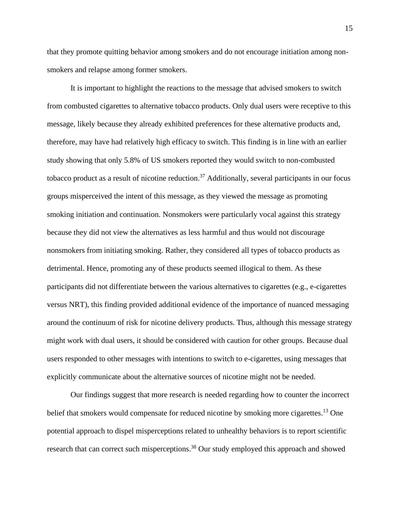that they promote quitting behavior among smokers and do not encourage initiation among nonsmokers and relapse among former smokers.

It is important to highlight the reactions to the message that advised smokers to switch from combusted cigarettes to alternative tobacco products. Only dual users were receptive to this message, likely because they already exhibited preferences for these alternative products and, therefore, may have had relatively high efficacy to switch. This finding is in line with an earlier study showing that only 5.8% of US smokers reported they would switch to non-combusted tobacco product as a result of nicotine reduction.<sup>37</sup> Additionally, several participants in our focus groups misperceived the intent of this message, as they viewed the message as promoting smoking initiation and continuation. Nonsmokers were particularly vocal against this strategy because they did not view the alternatives as less harmful and thus would not discourage nonsmokers from initiating smoking. Rather, they considered all types of tobacco products as detrimental. Hence, promoting any of these products seemed illogical to them. As these participants did not differentiate between the various alternatives to cigarettes (e.g., e-cigarettes versus NRT), this finding provided additional evidence of the importance of nuanced messaging around the continuum of risk for nicotine delivery products. Thus, although this message strategy might work with dual users, it should be considered with caution for other groups. Because dual users responded to other messages with intentions to switch to e-cigarettes, using messages that explicitly communicate about the alternative sources of nicotine might not be needed.

Our findings suggest that more research is needed regarding how to counter the incorrect belief that smokers would compensate for reduced nicotine by smoking more cigarettes.<sup>13</sup> One potential approach to dispel misperceptions related to unhealthy behaviors is to report scientific research that can correct such misperceptions.<sup>38</sup> Our study employed this approach and showed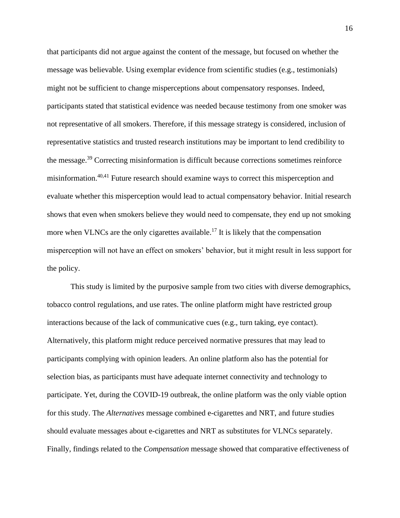that participants did not argue against the content of the message, but focused on whether the message was believable. Using exemplar evidence from scientific studies (e.g., testimonials) might not be sufficient to change misperceptions about compensatory responses. Indeed, participants stated that statistical evidence was needed because testimony from one smoker was not representative of all smokers. Therefore, if this message strategy is considered, inclusion of representative statistics and trusted research institutions may be important to lend credibility to the message.<sup>39</sup> Correcting misinformation is difficult because corrections sometimes reinforce misinformation.40,41 Future research should examine ways to correct this misperception and evaluate whether this misperception would lead to actual compensatory behavior. Initial research shows that even when smokers believe they would need to compensate, they end up not smoking more when VLNCs are the only cigarettes available.<sup>17</sup> It is likely that the compensation misperception will not have an effect on smokers' behavior, but it might result in less support for the policy.

This study is limited by the purposive sample from two cities with diverse demographics, tobacco control regulations, and use rates. The online platform might have restricted group interactions because of the lack of communicative cues (e.g., turn taking, eye contact). Alternatively, this platform might reduce perceived normative pressures that may lead to participants complying with opinion leaders. An online platform also has the potential for selection bias, as participants must have adequate internet connectivity and technology to participate. Yet, during the COVID-19 outbreak, the online platform was the only viable option for this study. The *Alternatives* message combined e-cigarettes and NRT, and future studies should evaluate messages about e-cigarettes and NRT as substitutes for VLNCs separately. Finally, findings related to the *Compensation* message showed that comparative effectiveness of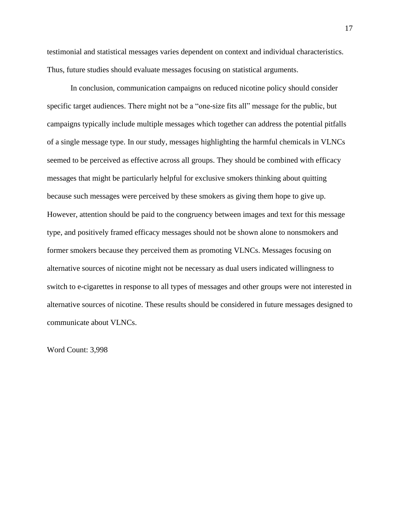testimonial and statistical messages varies dependent on context and individual characteristics. Thus, future studies should evaluate messages focusing on statistical arguments.

In conclusion, communication campaigns on reduced nicotine policy should consider specific target audiences. There might not be a "one-size fits all" message for the public, but campaigns typically include multiple messages which together can address the potential pitfalls of a single message type. In our study, messages highlighting the harmful chemicals in VLNCs seemed to be perceived as effective across all groups. They should be combined with efficacy messages that might be particularly helpful for exclusive smokers thinking about quitting because such messages were perceived by these smokers as giving them hope to give up. However, attention should be paid to the congruency between images and text for this message type, and positively framed efficacy messages should not be shown alone to nonsmokers and former smokers because they perceived them as promoting VLNCs. Messages focusing on alternative sources of nicotine might not be necessary as dual users indicated willingness to switch to e-cigarettes in response to all types of messages and other groups were not interested in alternative sources of nicotine. These results should be considered in future messages designed to communicate about VLNCs.

Word Count: 3,998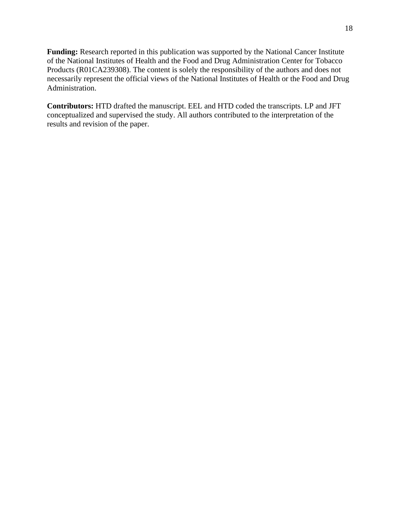**Funding:** Research reported in this publication was supported by the National Cancer Institute of the National Institutes of Health and the Food and Drug Administration Center for Tobacco Products (R01CA239308). The content is solely the responsibility of the authors and does not necessarily represent the official views of the National Institutes of Health or the Food and Drug Administration.

**Contributors:** HTD drafted the manuscript. EEL and HTD coded the transcripts. LP and JFT conceptualized and supervised the study. All authors contributed to the interpretation of the results and revision of the paper.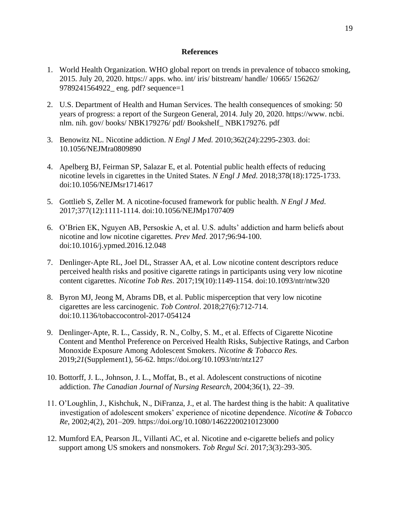#### **References**

- 1. World Health Organization. WHO global report on trends in prevalence of tobacco smoking, 2015. July 20, 2020. https:// apps. who. int/ iris/ bitstream/ handle/ 10665/ 156262/ 9789241564922\_ eng. pdf? sequence=1
- 2. U.S. Department of Health and Human Services. The health consequences of smoking: 50 years of progress: a report of the Surgeon General, 2014. July 20, 2020. https://www. ncbi. nlm. nih. gov/ books/ NBK179276/ pdf/ Bookshelf\_ NBK179276. pdf
- 3. Benowitz NL. Nicotine addiction. *N Engl J Med.* 2010;362(24):2295-2303. doi: 10.1056/NEJMra0809890
- 4. Apelberg BJ, Feirman SP, Salazar E, et al. Potential public health effects of reducing nicotine levels in cigarettes in the United States. *N Engl J Med*. 2018;378(18):1725-1733. doi:10.1056/NEJMsr1714617
- 5. Gottlieb S, Zeller M. A nicotine-focused framework for public health. *N Engl J Med*. 2017;377(12):1111-1114. doi:10.1056/NEJMp1707409
- 6. O'Brien EK, Nguyen AB, Persoskie A, et al. U.S. adults' addiction and harm beliefs about nicotine and low nicotine cigarettes. *Prev Med*. 2017;96:94-100. doi:10.1016/j.ypmed.2016.12.048
- 7. Denlinger-Apte RL, Joel DL, Strasser AA, et al. Low nicotine content descriptors reduce perceived health risks and positive cigarette ratings in participants using very low nicotine content cigarettes. *Nicotine Tob Res*. 2017;19(10):1149-1154. doi:10.1093/ntr/ntw320
- 8. Byron MJ, Jeong M, Abrams DB, et al. Public misperception that very low nicotine cigarettes are less carcinogenic. *Tob Control*. 2018;27(6):712-714. doi:10.1136/tobaccocontrol-2017-054124
- 9. Denlinger-Apte, R. L., Cassidy, R. N., Colby, S. M., et al. Effects of Cigarette Nicotine Content and Menthol Preference on Perceived Health Risks, Subjective Ratings, and Carbon Monoxide Exposure Among Adolescent Smokers. *Nicotine & Tobacco Res.*  2019;*21*(Supplement1), 56-62. https://doi.org/10.1093/ntr/ntz127
- 10. Bottorff, J. L., Johnson, J. L., Moffat, B., et al. Adolescent constructions of nicotine addiction. *The Canadian Journal of Nursing Research*, 2004;36(1), 22–39.
- 11. O'Loughlin, J., Kishchuk, N., DiFranza, J., et al. The hardest thing is the habit: A qualitative investigation of adolescent smokers' experience of nicotine dependence. *Nicotine & Tobacco Re*, 2002;*4*(2), 201–209. https://doi.org/10.1080/14622200210123000
- 12. Mumford EA, Pearson JL, Villanti AC, et al. Nicotine and e-cigarette beliefs and policy support among US smokers and nonsmokers. *Tob Regul Sci*. 2017;3(3):293-305.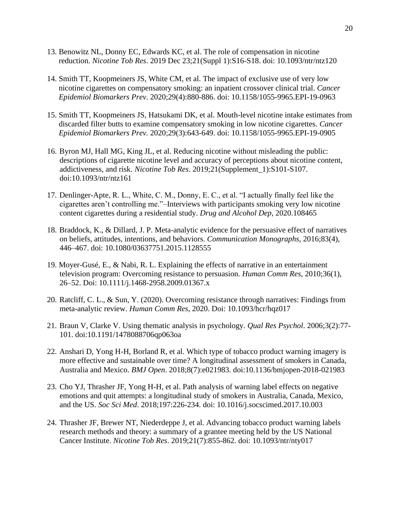- 13. Benowitz NL, Donny EC, Edwards KC, et al. The role of compensation in nicotine reduction. *Nicotine Tob Res*. 2019 Dec 23;21(Suppl 1):S16-S18. doi: 10.1093/ntr/ntz120
- 14. Smith TT, Koopmeiners JS, White CM, et al. The impact of exclusive use of very low nicotine cigarettes on compensatory smoking: an inpatient crossover clinical trial. *Cancer Epidemiol Biomarkers Prev*. 2020;29(4):880-886. doi: 10.1158/1055-9965.EPI-19-0963
- 15. Smith TT, Koopmeiners JS, Hatsukami DK, et al. Mouth-level nicotine intake estimates from discarded filter butts to examine compensatory smoking in low nicotine cigarettes. *Cancer Epidemiol Biomarkers Prev.* 2020;29(3):643-649. doi: 10.1158/1055-9965.EPI-19-0905
- 16. Byron MJ, Hall MG, King JL, et al. Reducing nicotine without misleading the public: descriptions of cigarette nicotine level and accuracy of perceptions about nicotine content, addictiveness, and risk. *Nicotine Tob Res*. 2019;21(Supplement\_1):S101-S107. doi:10.1093/ntr/ntz161
- 17. Denlinger-Apte, R. L., White, C. M., Donny, E. C., et al. "I actually finally feel like the cigarettes aren't controlling me."–Interviews with participants smoking very low nicotine content cigarettes during a residential study. *Drug and Alcohol Dep*, 2020.108465
- 18. Braddock, K., & Dillard, J. P. Meta-analytic evidence for the persuasive effect of narratives on beliefs, attitudes, intentions, and behaviors. *Communication Monographs*, 2016;83(4), 446–467. doi: 10.1080/03637751.2015.1128555
- 19. Moyer-Gusé, E., & Nabi, R. L. Explaining the effects of narrative in an entertainment television program: Overcoming resistance to persuasion. *Human Comm Res*, 2010;36(1), 26–52. Doi: 10.1111/j.1468-2958.2009.01367.x
- 20. Ratcliff, C. L., & Sun, Y. (2020). Overcoming resistance through narratives: Findings from meta-analytic review. *Human Comm Res*, 2020. Doi: 10.1093/hcr/hqz017
- 21. Braun V, Clarke V. Using thematic analysis in psychology. *Qual Res Psychol*. 2006;3(2):77- 101. doi:10.1191/1478088706qp063oa
- 22. Anshari D, Yong H-H, Borland R, et al. Which type of tobacco product warning imagery is more effective and sustainable over time? A longitudinal assessment of smokers in Canada, Australia and Mexico. *BMJ Open*. 2018;8(7):e021983. doi:10.1136/bmjopen-2018-021983
- 23. Cho YJ, Thrasher JF, Yong H-H, et al. Path analysis of warning label effects on negative emotions and quit attempts: a longitudinal study of smokers in Australia, Canada, Mexico, and the US. *Soc Sci Med*. 2018;197:226-234. doi: [10.1016/j.socscimed.2017.10.003](https://doi-org.proxy-remote.galib.uga.edu/10.1016/j.socscimed.2017.10.003)
- 24. Thrasher JF, Brewer NT, Niederdeppe J, et al. Advancing tobacco product warning labels research methods and theory: a summary of a grantee meeting held by the US National Cancer Institute. *Nicotine Tob Res*. 2019;21(7):855-862. doi: [10.1093/ntr/nty017](https://doi-org.proxy-remote.galib.uga.edu/10.1093/ntr/nty017)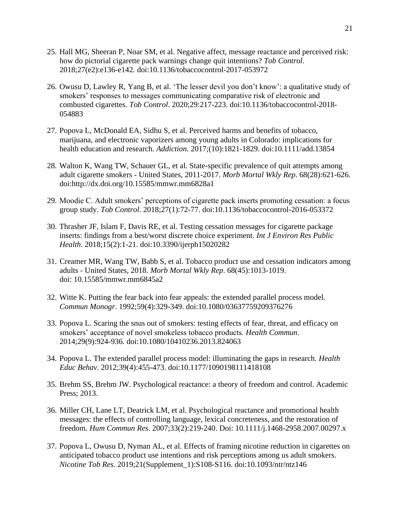- 25. Hall MG, Sheeran P, Noar SM, et al. Negative affect, message reactance and perceived risk: how do pictorial cigarette pack warnings change quit intentions? *Tob Control*. 2018;27(e2):e136-e142. doi:10.1136/tobaccocontrol-2017-053972
- 26. Owusu D, Lawley R, Yang B, et al. 'The lesser devil you don't know': a qualitative study of smokers' responses to messages communicating comparative risk of electronic and combusted cigarettes. *Tob Control*. 2020;29:217-223. doi:10.1136/tobaccocontrol-2018- 054883
- 27. Popova L, McDonald EA, Sidhu S, et al. Perceived harms and benefits of tobacco, marijuana, and electronic vaporizers among young adults in Colorado: implications for health education and research. *Addiction*. 2017;(10):1821-1829. doi:10.1111/add.13854
- 28. Walton K, Wang TW, Schauer GL, et al. State-specific prevalence of quit attempts among adult cigarette smokers - United States, 2011-2017. *Morb Mortal Wkly Rep*. 68(28):621-626. doi:http://dx.doi.org/10.15585/mmwr.mm6828a1
- 29. Moodie C. Adult smokers' perceptions of cigarette pack inserts promoting cessation: a focus group study. *Tob Control*. 2018;27(1):72-77. doi:10.1136/tobaccocontrol-2016-053372
- 30. Thrasher JF, Islam F, Davis RE, et al. Testing cessation messages for cigarette package inserts: findings from a best/worst discrete choice experiment. *Int J Environ Res Public Health*. 2018;15(2):1-21. doi:10.3390/ijerph15020282
- 31. Creamer MR, Wang TW, Babb S, et al. Tobacco product use and cessation indicators among adults - United States, 2018. *Morb Mortal Wkly Rep*. 68(45):1013-1019. doi: [10.15585/mmwr.mm6845a2](https://dx-doi-org.proxy-remote.galib.uga.edu/10.15585%2Fmmwr.mm6845a2)
- 32. Witte K. Putting the fear back into fear appeals: the extended parallel process model. *Commun Monogr*. 1992;59(4):329-349. doi:10.1080/03637759209376276
- 33. Popova L. Scaring the snus out of smokers: testing effects of fear, threat, and efficacy on smokers' acceptance of novel smokeless tobacco products. *Health Commun*. 2014;29(9):924-936. doi:10.1080/10410236.2013.824063
- 34. Popova L. The extended parallel process model: illuminating the gaps in research. *Health Educ Behav*. 2012;39(4):455-473. doi:10.1177/1090198111418108
- 35. Brehm SS, Brehm JW. Psychological reactance: a theory of freedom and control. Academic Press; 2013.
- 36. Miller CH, Lane LT, Deatrick LM, et al. Psychological reactance and promotional health messages: the effects of controlling language, lexical concreteness, and the restoration of freedom. *Hum Commun Res*. 2007;33(2):219-240. Doi: [10.1111/j.1468-2958.2007.00297.x](https://doi-org.proxy-remote.galib.uga.edu/10.1111/j.1468-2958.2007.00297.x)
- 37. Popova L, Owusu D, Nyman AL, et al. Effects of framing nicotine reduction in cigarettes on anticipated tobacco product use intentions and risk perceptions among us adult smokers. *Nicotine Tob Res*. 2019;21(Supplement\_1):S108-S116. doi:10.1093/ntr/ntz146